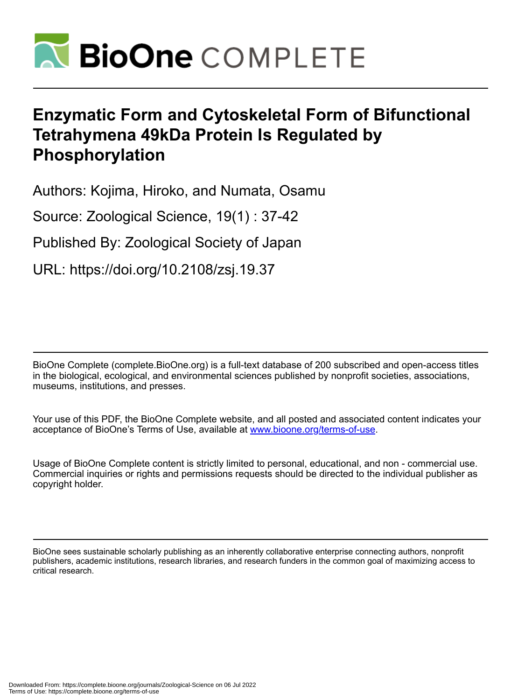

# **Enzymatic Form and Cytoskeletal Form of Bifunctional Tetrahymena 49kDa Protein Is Regulated by Phosphorylation**

Authors: Kojima, Hiroko, and Numata, Osamu

Source: Zoological Science, 19(1) : 37-42

Published By: Zoological Society of Japan

URL: https://doi.org/10.2108/zsj.19.37

BioOne Complete (complete.BioOne.org) is a full-text database of 200 subscribed and open-access titles in the biological, ecological, and environmental sciences published by nonprofit societies, associations, museums, institutions, and presses.

Your use of this PDF, the BioOne Complete website, and all posted and associated content indicates your acceptance of BioOne's Terms of Use, available at www.bioone.org/terms-of-use.

Usage of BioOne Complete content is strictly limited to personal, educational, and non - commercial use. Commercial inquiries or rights and permissions requests should be directed to the individual publisher as copyright holder.

BioOne sees sustainable scholarly publishing as an inherently collaborative enterprise connecting authors, nonprofit publishers, academic institutions, research libraries, and research funders in the common goal of maximizing access to critical research.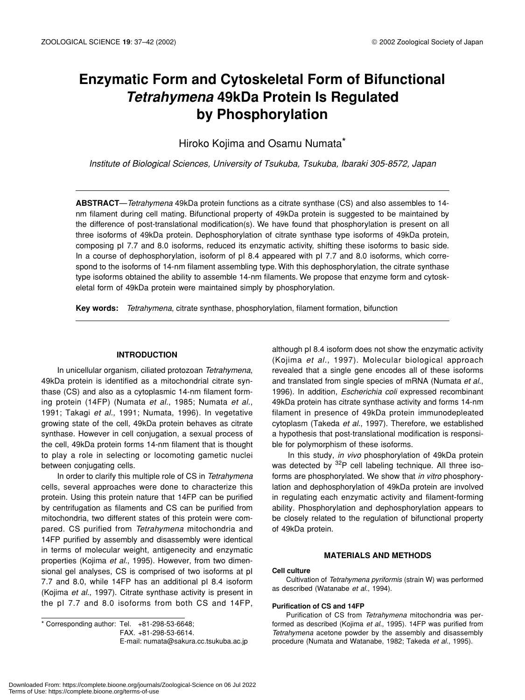# **Enzymatic Form and Cytoskeletal Form of Bifunctional**  *Tetrahymena* **49kDa Protein Is Regulated by Phosphorylation**

Hiroko Kojima and Osamu Numata\*

*Institute of Biological Sciences, University of Tsukuba, Tsukuba, Ibaraki 305-8572, Japan*

**ABSTRACT**—*Tetrahymena* 49kDa protein functions as a citrate synthase (CS) and also assembles to 14 nm filament during cell mating. Bifunctional property of 49kDa protein is suggested to be maintained by the difference of post-translational modification(s). We have found that phosphorylation is present on all three isoforms of 49kDa protein. Dephosphorylation of citrate synthase type isoforms of 49kDa protein, composing pI 7.7 and 8.0 isoforms, reduced its enzymatic activity, shifting these isoforms to basic side. In a course of dephosphorylation, isoform of pI 8.4 appeared with pI 7.7 and 8.0 isoforms, which correspond to the isoforms of 14-nm filament assembling type. With this dephosphorylation, the citrate synthase type isoforms obtained the ability to assemble 14-nm filaments. We propose that enzyme form and cytoskeletal form of 49kDa protein were maintained simply by phosphorylation.

**Key words:** *Tetrahymena*, citrate synthase, phosphorylation, filament formation, bifunction

#### **INTRODUCTION**

In unicellular organism, ciliated protozoan *Tetrahymena*, 49kDa protein is identified as a mitochondrial citrate synthase (CS) and also as a cytoplasmic 14-nm filament forming protein (14FP) (Numata *et al.*, 1985; Numata *et al.*, 1991; Takagi *et al.*, 1991; Numata, 1996). In vegetative growing state of the cell, 49kDa protein behaves as citrate synthase. However in cell conjugation, a sexual process of the cell, 49kDa protein forms 14-nm filament that is thought to play a role in selecting or locomoting gametic nuclei between conjugating cells.

In order to clarify this multiple role of CS in *Tetrahymena* cells, several approaches were done to characterize this protein. Using this protein nature that 14FP can be purified by centrifugation as filaments and CS can be purified from mitochondria, two different states of this protein were compared. CS purified from *Tetrahymena* mitochondria and 14FP purified by assembly and disassembly were identical in terms of molecular weight, antigenecity and enzymatic properties (Kojima *et al.*, 1995). However, from two dimensional gel analyses, CS is comprised of two isoforms at pI 7.7 and 8.0, while 14FP has an additional pI 8.4 isoform (Kojima *et al.*, 1997). Citrate synthase activity is present in the pI 7.7 and 8.0 isoforms from both CS and 14FP,

\* Corresponding author: Tel. +81-298-53-6648; FAX. +81-298-53-6614. E-mail: numata@sakura.cc.tsukuba.ac.jp

although pI 8.4 isoform does not show the enzymatic activity (Kojima *et al.*, 1997). Molecular biological approach revealed that a single gene encodes all of these isoforms and translated from single species of mRNA (Numata *et al.*, 1996). In addition, *Escherichia coli* expressed recombinant 49kDa protein has citrate synthase activity and forms 14-nm filament in presence of 49kDa protein immunodepleated cytoplasm (Takeda *et al.*, 1997). Therefore, we established a hypothesis that post-translational modification is responsible for polymorphism of these isoforms.

In this study, *in vivo* phosphorylation of 49kDa protein was detected by  $32P$  cell labeling technique. All three isoforms are phosphorylated. We show that *in vitro* phosphorylation and dephosphorylation of 49kDa protein are involved in regulating each enzymatic activity and filament-forming ability. Phosphorylation and dephosphorylation appears to be closely related to the regulation of bifunctional property of 49kDa protein.

#### **MATERIALS AND METHODS**

#### **Cell culture**

Cultivation of *Tetrahymena pyriformis* (strain W) was performed as described (Watanabe *et al.*, 1994).

#### **Purification of CS and 14FP**

Purification of CS from *Tetrahymena* mitochondria was performed as described (Kojima *et al.*, 1995). 14FP was purified from *Tetrahymena* acetone powder by the assembly and disassembly procedure (Numata and Watanabe, 1982; Takeda *et al.*, 1995).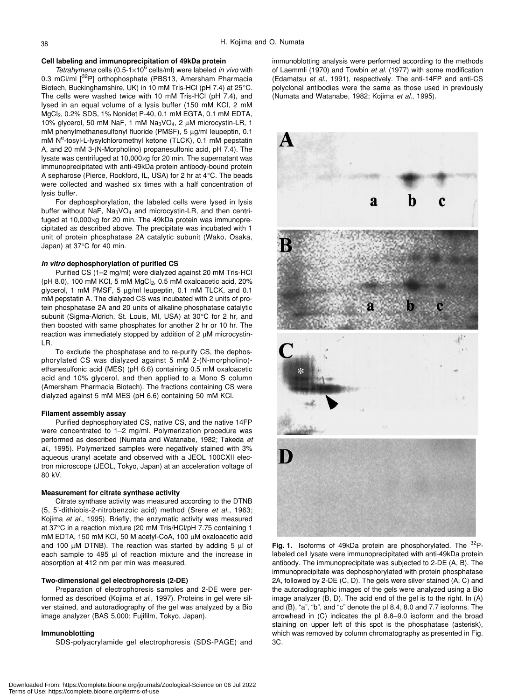#### **Cell labeling and immunoprecipitation of 49kDa protein**

Tetrahymena cells (0.5-1×10<sup>6</sup> cells/ml) were labeled *in vivo* with 0.3 mCi/ml [32P] orthophosphate (PBS13, Amersham Pharmacia Biotech, Buckinghamshire, UK) in 10 mM Tris-HCl (pH 7.4) at 25°C. The cells were washed twice with 10 mM Tris-HCl (pH 7.4), and lysed in an equal volume of a lysis buffer (150 mM KCl, 2 mM MgCl2, 0.2% SDS, 1% Nonidet P-40, 0.1 mM EGTA, 0.1 mM EDTA, 10% glycerol, 50 mM NaF, 1 mM Na3VO4, 2 µM microcystin-LR, 1 mM phenylmethanesulfonyl fluoride (PMSF), 5 µg/ml leupeptin, 0.1 mM  $N^{\alpha}$ -tosyl-L-lysylchloromethyl ketone (TLCK), 0.1 mM pepstatin A, and 20 mM 3-(N-Morpholino) propanesulfonic acid, pH 7.4). The lysate was centrifuged at 10,000×g for 20 min. The supernatant was immunoprecipitated with anti-49kDa protein antibody-bound protein A sepharose (Pierce, Rockford, IL, USA) for 2 hr at 4°C. The beads were collected and washed six times with a half concentration of lysis buffer.

For dephosphorylation, the labeled cells were lysed in lysis buffer without NaF, Na<sub>3</sub>VO<sub>4</sub> and microcystin-LR, and then centrifuged at 10,000×g for 20 min. The 49kDa protein was immunoprecipitated as described above. The precipitate was incubated with 1 unit of protein phosphatase 2A catalytic subunit (Wako, Osaka, Japan) at 37°C for 40 min.

#### *In vitro* **dephosphorylation of purified CS**

Purified CS (1–2 mg/ml) were dialyzed against 20 mM Tris-HCl ( $pH$  8.0), 100 mM KCl, 5 mM MgCl<sub>2</sub>, 0.5 mM oxaloacetic acid, 20% glycerol, 1 mM PMSF, 5 µg/ml leupeptin, 0.1 mM TLCK, and 0.1 mM pepstatin A. The dialyzed CS was incubated with 2 units of protein phosphatase 2A and 20 units of alkaline phosphatase catalytic subunit (Sigma-Aldrich, St. Louis, MI, USA) at 30°C for 2 hr, and then boosted with same phosphates for another 2 hr or 10 hr. The reaction was immediately stopped by addition of  $2 \mu M$  microcystin-LR.

To exclude the phosphatase and to re-purify CS, the dephosphorylated CS was dialyzed against 5 mM 2-(N-morpholino) ethanesulfonic acid (MES) (pH 6.6) containing 0.5 mM oxaloacetic acid and 10% glycerol, and then applied to a Mono S column (Amersham Pharmacia Biotech). The fractions containing CS were dialyzed against 5 mM MES (pH 6.6) containing 50 mM KCl.

#### **Filament assembly assay**

Purified dephosphorylated CS, native CS, and the native 14FP were concentrated to 1–2 mg/ml. Polymerization procedure was performed as described (Numata and Watanabe, 1982; Takeda *et al.*, 1995). Polymerized samples were negatively stained with 3% aqueous uranyl acetate and observed with a JEOL 100CXII electron microscope (JEOL, Tokyo, Japan) at an acceleration voltage of 80 kV.

#### **Measurement for citrate synthase activity**

Citrate synthase activity was measured according to the DTNB (5, 5'-dithiobis-2-nitrobenzoic acid) method (Srere *et al.*, 1963; Kojima *et al.*, 1995). Briefly, the enzymatic activity was measured at 37°C in a reaction mixture (20 mM Tris/HCl/pH 7.75 containing 1 mM EDTA, 150 mM KCl, 50 M acetyl-CoA, 100 µM oxaloacetic acid and 100  $\mu$ M DTNB). The reaction was started by adding 5  $\mu$ l of each sample to 495 µl of reaction mixture and the increase in absorption at 412 nm per min was measured.

#### **Two-dimensional gel electrophoresis (2-DE)**

Preparation of electrophoresis samples and 2-DE were performed as described (Kojima *et al.*, 1997). Proteins in gel were silver stained, and autoradiography of the gel was analyzed by a Bio image analyzer (BAS 5,000; Fujifilm, Tokyo, Japan).

#### **Immunoblotting**

SDS-polyacrylamide gel electrophoresis (SDS-PAGE) and

immunoblotting analysis were performed according to the methods of Laemmli (1970) and Towbin *et al.* (1977) with some modification (Edamatsu *et al.*, 1991), respectively. The anti-14FP and anti-CS polyclonal antibodies were the same as those used in previously (Numata and Watanabe, 1982; Kojima *et al.*, 1995).



**Fig. 1.** Isoforms of 49kDa protein are phosphorylated. The <sup>32</sup>Plabeled cell lysate were immunoprecipitated with anti-49kDa protein antibody. The immunoprecipitate was subjected to 2-DE (A, B). The immunoprecipitate was dephosphorylated with protein phosphatase 2A, followed by 2-DE (C, D). The gels were silver stained (A, C) and the autoradiographic images of the gels were analyzed using a Bio image analyzer (B, D). The acid end of the gel is to the right. In (A) and (B), "a", "b", and "c" denote the pI 8.4, 8.0 and 7.7 isoforms. The arrowhead in (C) indicates the pI 8.8–9.0 isoform and the broad staining on upper left of this spot is the phosphatase (asterisk), which was removed by column chromatography as presented in Fig. 3C.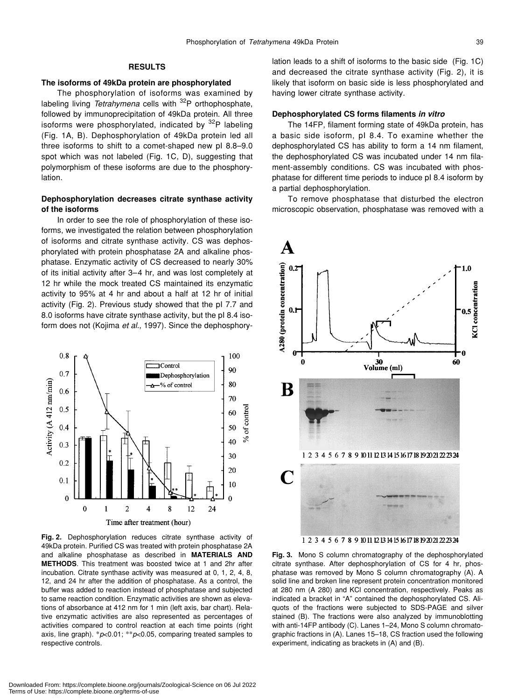# **RESULTS**

#### **The isoforms of 49kDa protein are phosphorylated**

The phosphorylation of isoforms was examined by labeling living *Tetrahymena* cells with <sup>32</sup>P orthophosphate, followed by immunoprecipitation of 49kDa protein. All three isoforms were phosphorylated, indicated by  $32P$  labeling (Fig. 1A, B). Dephosphorylation of 49kDa protein led all three isoforms to shift to a comet-shaped new pI 8.8–9.0 spot which was not labeled (Fig. 1C, D), suggesting that polymorphism of these isoforms are due to the phosphorylation.

# **Dephosphorylation decreases citrate synthase activity of the isoforms**

In order to see the role of phosphorylation of these isoforms, we investigated the relation between phosphorylation of isoforms and citrate synthase activity. CS was dephosphorylated with protein phosphatase 2A and alkaline phosphatase. Enzymatic activity of CS decreased to nearly 30% of its initial activity after 3–4 hr, and was lost completely at 12 hr while the mock treated CS maintained its enzymatic activity to 95% at 4 hr and about a half at 12 hr of initial activity (Fig. 2). Previous study showed that the pI 7.7 and 8.0 isoforms have citrate synthase activity, but the pI 8.4 isoform does not (Kojima *et al.*, 1997). Since the dephosphory-



**Fig. 2.** Dephosphorylation reduces citrate synthase activity of 49kDa protein. Purified CS was treated with protein phosphatase 2A and alkaline phosphatase as described in **MATERIALS AND METHODS**. This treatment was boosted twice at 1 and 2hr after incubation. Citrate synthase activity was measured at 0, 1, 2, 4, 8, 12, and 24 hr after the addition of phosphatase. As a control, the buffer was added to reaction instead of phosphatase and subjected to same reaction condition. Enzymatic activities are shown as elevations of absorbance at 412 nm for 1 min (left axis, bar chart). Relative enzymatic activities are also represented as percentages of activities compared to control reaction at each time points (right axis, line graph). \**p*<0.01; \*\**p*<0.05, comparing treated samples to respective controls.

lation leads to a shift of isoforms to the basic side (Fig. 1C) and decreased the citrate synthase activity (Fig. 2), it is likely that isoform on basic side is less phosphorylated and having lower citrate synthase activity.

### **Dephosphorylated CS forms filaments** *in vitro*

The 14FP, filament forming state of 49kDa protein, has a basic side isoform, pI 8.4. To examine whether the dephosphorylated CS has ability to form a 14 nm filament, the dephosphorylated CS was incubated under 14 nm filament-assembly conditions. CS was incubated with phosphatase for different time periods to induce pI 8.4 isoform by a partial dephosphorylation.

To remove phosphatase that disturbed the electron microscopic observation, phosphatase was removed with a



**Fig. 3.** Mono S column chromatography of the dephosphorylated citrate synthase. After dephosphorylation of CS for 4 hr, phosphatase was removed by Mono S column chromatography (A). A solid line and broken line represent protein concentration monitored at 280 nm (A 280) and KCl concentration, respectively. Peaks as indicated a bracket in "A" contained the dephosphorylated CS. Aliquots of the fractions were subjected to SDS-PAGE and silver stained (B). The fractions were also analyzed by immunoblotting with anti-14FP antibody (C). Lanes 1–24, Mono S column chromatographic fractions in (A). Lanes 15–18, CS fraction used the following experiment, indicating as brackets in (A) and (B).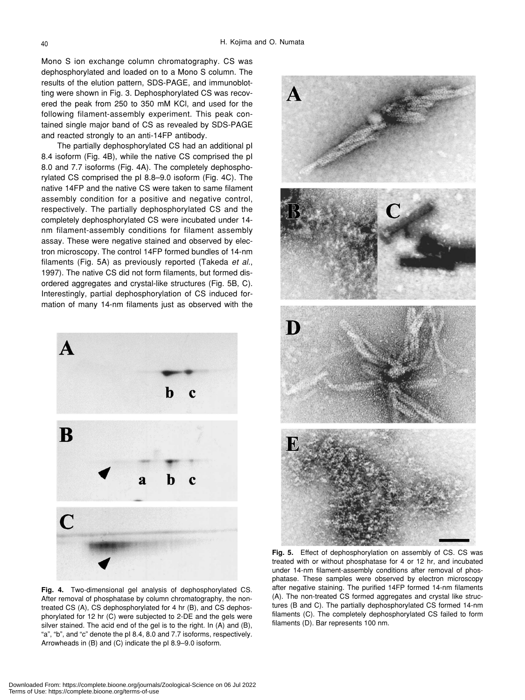Mono S ion exchange column chromatography. CS was dephosphorylated and loaded on to a Mono S column. The results of the elution pattern, SDS-PAGE, and immunoblotting were shown in Fig. 3. Dephosphorylated CS was recovered the peak from 250 to 350 mM KCl, and used for the following filament-assembly experiment. This peak contained single major band of CS as revealed by SDS-PAGE and reacted strongly to an anti-14FP antibody.

The partially dephosphorylated CS had an additional pI 8.4 isoform (Fig. 4B), while the native CS comprised the pI 8.0 and 7.7 isoforms (Fig. 4A). The completely dephosphorylated CS comprised the pI 8.8–9.0 isoform (Fig. 4C). The native 14FP and the native CS were taken to same filament assembly condition for a positive and negative control, respectively. The partially dephosphorylated CS and the completely dephosphorylated CS were incubated under 14 nm filament-assembly conditions for filament assembly assay. These were negative stained and observed by electron microscopy. The control 14FP formed bundles of 14-nm filaments (Fig. 5A) as previously reported (Takeda *et al.*, 1997). The native CS did not form filaments, but formed disordered aggregates and crystal-like structures (Fig. 5B, C). Interestingly, partial dephosphorylation of CS induced formation of many 14-nm filaments just as observed with the



**Fig. 4.** Two-dimensional gel analysis of dephosphorylated CS. After removal of phosphatase by column chromatography, the nontreated CS (A), CS dephosphorylated for 4 hr (B), and CS dephosphorylated for 12 hr (C) were subjected to 2-DE and the gels were silver stained. The acid end of the gel is to the right. In (A) and (B), "a", "b", and "c" denote the pI 8.4, 8.0 and 7.7 isoforms, respectively. Arrowheads in (B) and (C) indicate the pI 8.9–9.0 isoform.



**Fig. 5.** Effect of dephosphorylation on assembly of CS. CS was treated with or without phosphatase for 4 or 12 hr, and incubated under 14-nm filament-assembly conditions after removal of phosphatase. These samples were observed by electron microscopy after negative staining. The purified 14FP formed 14-nm filaments (A). The non-treated CS formed aggregates and crystal like structures (B and C). The partially dephosphorylated CS formed 14-nm filaments (C). The completely dephosphorylated CS failed to form filaments (D). Bar represents 100 nm.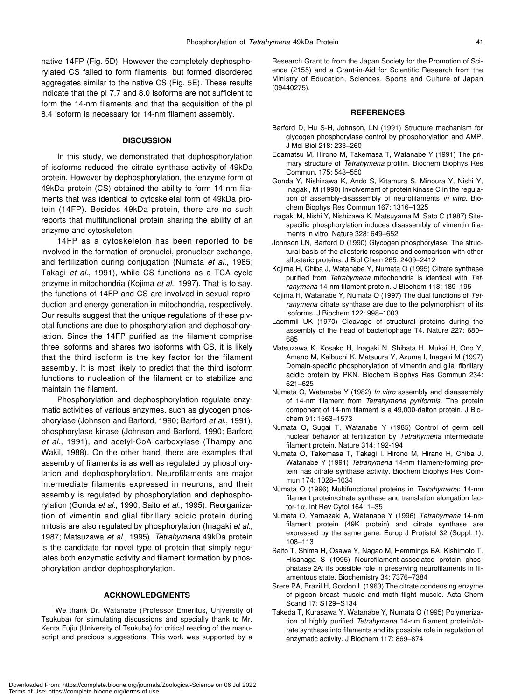native 14FP (Fig. 5D). However the completely dephosphorylated CS failed to form filaments, but formed disordered aggregates similar to the native CS (Fig. 5E). These results indicate that the pI 7.7 and 8.0 isoforms are not sufficient to form the 14-nm filaments and that the acquisition of the pI 8.4 isoform is necessary for 14-nm filament assembly.

#### **DISCUSSION**

In this study, we demonstrated that dephosphorylation of isoforms reduced the citrate synthase activity of 49kDa protein. However by dephosphorylation, the enzyme form of 49kDa protein (CS) obtained the ability to form 14 nm filaments that was identical to cytoskeletal form of 49kDa protein (14FP). Besides 49kDa protein, there are no such reports that multifunctional protein sharing the ability of an enzyme and cytoskeleton.

14FP as a cytoskeleton has been reported to be involved in the formation of pronuclei, pronuclear exchange, and fertilization during conjugation (Numata *et al.*, 1985; Takagi *et al.*, 1991), while CS functions as a TCA cycle enzyme in mitochondria (Kojima *et al.*, 1997). That is to say, the functions of 14FP and CS are involved in sexual reproduction and energy generation in mitochondria, respectively. Our results suggest that the unique regulations of these pivotal functions are due to phosphorylation and dephosphorylation. Since the 14FP purified as the filament comprise three isoforms and shares two isoforms with CS, it is likely that the third isoform is the key factor for the filament assembly. It is most likely to predict that the third isoform functions to nucleation of the filament or to stabilize and maintain the filament.

Phosphorylation and dephosphorylation regulate enzymatic activities of various enzymes, such as glycogen phosphorylase (Johnson and Barford, 1990; Barford *et al.*, 1991), phosphorylase kinase (Johnson and Barford, 1990; Barford *et al.*, 1991), and acetyl-CoA carboxylase (Thampy and Wakil, 1988). On the other hand, there are examples that assembly of filaments is as well as regulated by phosphorylation and dephosphorylation. Neurofilaments are major intermediate filaments expressed in neurons, and their assembly is regulated by phosphorylation and dephosphorylation (Gonda *et al.*, 1990; Saito *et al.*, 1995). Reorganization of vimentin and glial fibrillary acidic protein during mitosis are also regulated by phosphorylation (Inagaki *et al.*, 1987; Matsuzawa *et al.*, 1995). *Tetrahymena* 49kDa protein is the candidate for novel type of protein that simply regulates both enzymatic activity and filament formation by phosphorylation and/or dephosphorylation.

## **ACKNOWLEDGMENTS**

We thank Dr. Watanabe (Professor Emeritus, University of Tsukuba) for stimulating discussions and specially thank to Mr. Kenta Fujiu (University of Tsukuba) for critical reading of the manuscript and precious suggestions. This work was supported by a Research Grant to from the Japan Society for the Promotion of Science (2155) and a Grant-in-Aid for Scientific Research from the Ministry of Education, Sciences, Sports and Culture of Japan (09440275).

#### **REFERENCES**

- Barford D, Hu S-H, Johnson, LN (1991) Structure mechanism for glycogen phosphorylase control by phosphorylation and AMP. J Mol Biol 218: 233–260
- Edamatsu M, Hirono M, Takemasa T, Watanabe Y (1991) The primary structure of *Tetrahymena* profilin. Biochem Biophys Res Commun. 175: 543–550
- Gonda Y, Nishizawa K, Ando S, Kitamura S, Minoura Y, Nishi Y, Inagaki, M (1990) Involvement of protein kinase C in the regulation of assembly-disassembly of neurofilaments *in vitro*. Biochem Biophys Res Commun 167: 1316–1325
- Inagaki M, Nishi Y, Nishizawa K, Matsuyama M, Sato C (1987) Sitespecific phosphorylation induces disassembly of vimentin filaments in vitro. Nature 328: 649–652
- Johnson LN, Barford D (1990) Glycogen phosphorylase. The structural basis of the allosteric response and comparison with other allosteric proteins. J Biol Chem 265: 2409–2412
- Kojima H, Chiba J, Watanabe Y, Numata O (1995) Citrate synthase purified from *Tetrahymena* mitochondria is identical with *Tetrahymena* 14-nm filament protein. J Biochem 118: 189–195
- Kojima H, Watanabe Y, Numata O (1997) The dual functions of *Tetrahymena* citrate synthase are due to the polymorphism of its isoforms. J Biochem 122: 998–1003
- Laemmli UK (1970) Cleavage of structural proteins during the assembly of the head of bacteriophage T4. Nature 227: 680– 685
- Matsuzawa K, Kosako H, Inagaki N, Shibata H, Mukai H, Ono Y, Amano M, Kaibuchi K, Matsuura Y, Azuma I, Inagaki M (1997) Domain-specific phosphorylation of vimentin and glial fibrillary acidic protein by PKN. Biochem Biophys Res Commun 234: 621–625
- Numata O, Watanabe Y (1982) *In vitro* assembly and disassembly of 14-nm filament from *Tetrahymena pyriformis*. The protein component of 14-nm filament is a 49,000-dalton protein. J Biochem 91: 1563–1573
- Numata O, Sugai T, Watanabe Y (1985) Control of germ cell nuclear behavior at fertilization by *Tetrahymena* intermediate filament protein. Nature 314: 192-194
- Numata O, Takemasa T, Takagi I, Hirono M, Hirano H, Chiba J, Watanabe Y (1991) *Tetrahymena* 14-nm filament-forming protein has citrate synthase activity. Biochem Biophys Res Commun 174: 1028–1034
- Numata O (1996) Multifunctional proteins in *Tetrahymena*: 14-nm filament protein/citrate synthase and translation elongation factor-1α. Int Rev Cytol 164: 1–35
- Numata O, Yamazaki A, Watanabe Y (1996) *Tetrahymena* 14-nm filament protein (49K protein) and citrate synthase are expressed by the same gene. Europ J Protistol 32 (Suppl. 1): 108–113
- Saito T, Shima H, Osawa Y, Nagao M, Hemmings BA, Kishimoto T, Hisanaga S (1995) Neurofilament-associated protein phosphatase 2A: its possible role in preserving neurofilaments in filamentous state. Biochemistry 34: 7376–7384
- Srere PA, Brazil H, Gordon L (1963) The citrate condensing enzyme of pigeon breast muscle and moth flight muscle. Acta Chem Scand 17: S129–S134
- Takeda T, Kurasawa Y, Watanabe Y, Numata O (1995) Polymerization of highly purified *Tetrahymena* 14-nm filament protein/citrate synthase into filaments and its possible role in regulation of enzymatic activity. J Biochem 117: 869–874